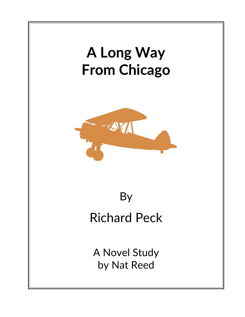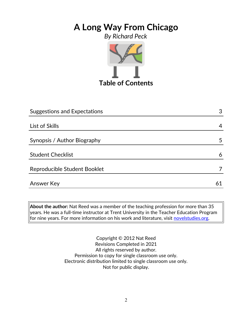### *By Richard Peck*



| Suggestions and Expectations | 3  |
|------------------------------|----|
|                              |    |
| List of Skills               | 4  |
|                              |    |
| Synopsis / Author Biography  | 5  |
|                              |    |
| <b>Student Checklist</b>     | 6  |
| Reproducible Student Booklet |    |
|                              |    |
| <b>Answer Key</b>            | 61 |

**About the author:** Nat Reed was a member of the teaching profession for more than 35 years. He was a full-time instructor at Trent University in the Teacher Education Program for nine years. For more information on his work and literature, visit [novelstudies.org.](http://www.novelstudies.org/)

> Copyright © 2012 Nat Reed Revisions Completed in 2021 All rights reserved by author. Permission to copy for single classroom use only. Electronic distribution limited to single classroom use only. Not for public display.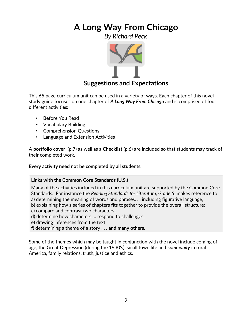*By Richard Peck*



### **Suggestions and Expectations**

This 65 page curriculum unit can be used in a variety of ways. Each chapter of this novel study guide focuses on one chapter of *A Long Way From Chicago* and is comprised of four different activities:

- Before You Read
- Vocabulary Building
- Comprehension Questions
- Language and Extension Activities

A **portfolio cover** (p.7) as well as a **Checklist** (p.6) are included so that students may track of their completed work.

**Every activity need not be completed by all students.** 

### **Links with the Common Core Standards (U.S.)**

Many of the activities included in this curriculum unit are supported by the Common Core Standards. For instance the *Reading Standards for Literature, Grade 5*, makes reference to a) determining the meaning of words and phrases. . . including figurative language;

- b) explaining how a series of chapters fits together to provide the overall structure;
- c) compare and contrast two characters;
- d) determine how characters … respond to challenges;
- e) drawing inferences from the text;
- f) determining a theme of a story . . . **and many others.**

Some of the themes which may be taught in conjunction with the novel include coming of age, the Great Depression (during the 1930's), small town life and *community* in rural America, family relations, truth, justice and ethics.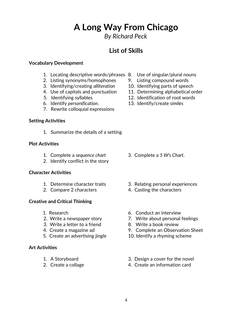*By Richard Peck*

# **List of Skills**

### **Vocabulary Development**

- 1. Locating descriptive words/phrases 8. Use of singular/plural nouns
- 2. Listing synonyms/homophones 9. Listing compound words
- 3. Identifying/creating *alliteration* 10. Identifying parts of speech
- 4. Use of capitals and punctuation 11. Determining alphabetical order
- 
- 6. Identify *personification*. 13. Identify/create *similes*
- 7. Rewrite colloquial expressions

#### **Setting Activities**

1. Summarize the details of a setting

#### **Plot Activities**

- 1. Complete a *sequence chart* 3. Complete a *5 W's Chart*.
- 2. Identify conflict in the story

### **Character Activities**

- 
- 2. Compare 2 characters 4. Casting the characters

### **Creative and Critical Thinking**

- 
- 
- 3. Write a letter to a friend 8. Write a book review
- 
- 5. Create an advertising jingle 10. Identify a rhyming scheme

### **Art Activities**

- 
- 
- 
- 
- 
- 
- 5. Identifying syllables 12. Identification of root words
	-

- 
- 1. Determine character traits 3. Relating personal experiences
	-
- 1.Research 6. Conduct an interview
- 2. Write a newspaper story **7.** Write about personal feelings
	-
- 4. Create a magazine ad 9. Complete an Observation Sheet
	-
- 1. A Storyboard 3. Design a cover for the novel
- 2. Create a collage 2. Create an information card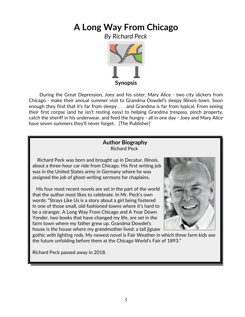*By Richard Peck*



 During the Great Depression, Joey and his sister, Mary Alice - two city slickers from Chicago - make their annual summer visit to Grandma Dowdel's sleepy Illinois town. Soon enough they find that it's far from sleepy . . . and Grandma is far from typical. From seeing their first corpse (and he isn't resting easy) to helping Grandma trespass, pinch property, catch the sheriff in his underwear, and feed the hungry - all in one day - Joey and Mary Alice have seven summers they'll never forget. [The Publisher]

### **Author Biography** Richard Peck

 Richard Peck was born and brought up in Decatur, Illinois, about a three-hour car ride from Chicago. His first writing job was in the United States army in Germany where he was assigned the job of ghost-writing sermons for chaplains.

 His four most recent novels are set in the part of the world that the author most likes to celebrate. In Mr. Peck's own words: "Strays Like Us is a story about a girl being fostered In one of those small, old-fashioned towns where it's hard to be a stranger. A Long Way From Chicago and A Year Down Yonder, two books that have changed my life, are set in the farm town where my father grew up. Grandma Dowdel's house is the house where my grandmother lived: a tall jigsaw



 gothic with lighting rods. My newest novel is Fair Weather in which three farm kids see the future unfolding before them at the Chicago World's Fair of 1893."

Richard Peck passed away in 2018.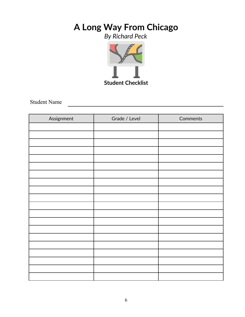*By Richard Peck*



Student Name

| Assignment | Grade / Level | Comments |
|------------|---------------|----------|
|            |               |          |
|            |               |          |
|            |               |          |
|            |               |          |
|            |               |          |
|            |               |          |
|            |               |          |
|            |               |          |
|            |               |          |
|            |               |          |
|            |               |          |
|            |               |          |
|            |               |          |
|            |               |          |
|            |               |          |
|            |               |          |
|            |               |          |
|            |               |          |
|            |               |          |
|            |               |          |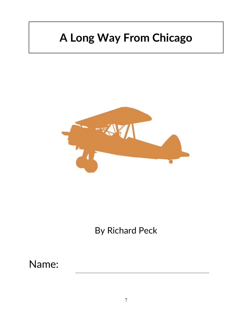

By Richard Peck

Name: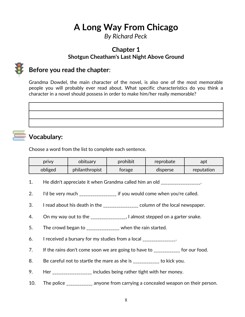*By Richard Peck*

### **Chapter 1 Shotgun Cheatham's Last Night Above Ground**



# **Before you read the chapter**:

Grandma Dowdel, the main character of the novel, is also one of the most memorable people you will probably ever read about. What specific characteristics do you think a character in a novel should possess in order to make him/her really memorable?

**Vocabulary:**

### Choose a word from the list to complete each sentence.

| privy   | obituary       | prohibit | reprobate | apt        |
|---------|----------------|----------|-----------|------------|
| obliged | philanthropist | torage   | disperse  | reputation |

- 1. He didn't appreciate it when Grandma called him an old \_\_\_\_\_\_\_\_\_\_\_\_\_\_\_\_\_\_\_\_\_.
- 2. I'd be very much **i**f you would come when you're called.
- 3. I read about his death in the \_\_\_\_\_\_\_\_\_\_\_\_\_\_\_ column of the local newspaper.
- 4. On my way out to the \_\_\_\_\_\_\_\_\_\_\_\_\_\_\_, I almost stepped on a garter snake.
- 5. The crowd began to \_\_\_\_\_\_\_\_\_\_\_\_\_\_\_ when the rain started.
- 6. I received a bursary for my studies from a local \_\_\_\_\_\_\_\_\_\_\_\_\_.
- 7. If the rains don't come soon we are going to have to \_\_\_\_\_\_\_\_\_\_\_ for our food.
- 8. Be careful not to startle the mare as she is \_\_\_\_\_\_\_\_\_\_\_ to kick you.
- 9. Her \_\_\_\_\_\_\_\_\_\_\_\_\_\_\_\_\_ includes being rather tight with her money.
- 10. The police \_\_\_\_\_\_\_\_\_\_\_ anyone from carrying a concealed weapon on their person.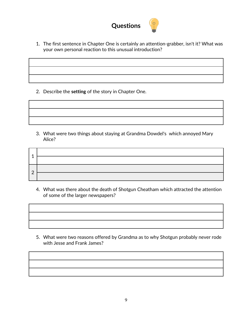

1. The first sentence in Chapter One is certainly an attention-grabber, isn't it? What was your own personal reaction to this unusual introduction?

2. Describe the **setting** of the story in Chapter One.

3. What were two things about staying at Grandma Dowdel's which annoyed Mary Alice?

| А             |  |
|---------------|--|
|               |  |
| $\mathcal{D}$ |  |
|               |  |

4. What was there about the death of Shotgun Cheatham which attracted the attention of some of the larger newspapers?



5. What were two reasons offered by Grandma as to why Shotgun probably never rode with Jesse and Frank James?

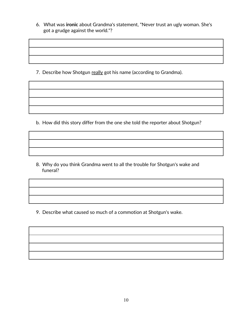6. What was **ironic** about Grandma's statement, "Never trust an ugly woman. She's got a grudge against the world."?

7. Describe how Shotgun really got his name (according to Grandma).

b. How did this story differ from the one she told the reporter about Shotgun?

8. Why do you think Grandma went to all the trouble for Shotgun's wake and funeral?

9. Describe what caused so much of a commotion at Shotgun's wake.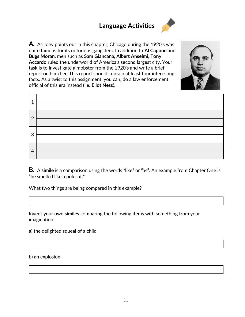# **Language Activities**





| ۰              |  |
|----------------|--|
| $\mathcal{P}$  |  |
| 3              |  |
| $\overline{4}$ |  |

**B***.* A **simile** is a comparison using the words "like" or "as". An example from Chapter One is "he smelled like a polecat."

What two things are being compared in this example?

Invent your own **similes** comparing the following items with something from your imagination:

a) the delighted squeal of a child

b) an explosion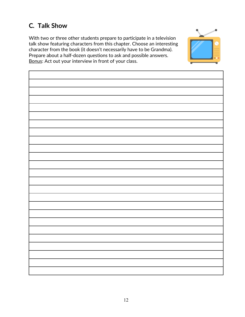# **C***.* **Talk Show**

With two or three other students prepare to participate in a television talk show featuring characters from this chapter. Choose an interesting character from the book (it doesn't necessarily have to be Grandma). Prepare about a half-dozen questions to ask and possible answers. Bonus: Act out your interview in front of your class.

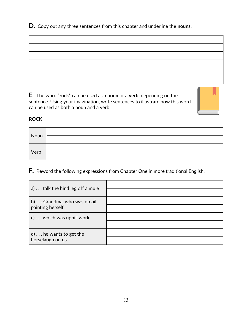**D***.* Copy out any three sentences from this chapter and underline the **nouns**.

**E***.* The word "**rock**" can be used as a **noun** or a **verb**, depending on the sentence. Using your imagination, write sentences to illustrate how this word can be used as both a noun and a verb.



### **ROCK**

| Noun        |  |
|-------------|--|
| <b>Verb</b> |  |

**F***.* Reword the following expressions from Chapter One in more traditional English.

| a) talk the hind leg off a mule |  |
|---------------------------------|--|
|                                 |  |
| b) Grandma, who was no oil      |  |
| painting herself.               |  |
| c) which was uphill work        |  |
|                                 |  |
| $d) \ldots$ he wants to get the |  |
| horselaugh on us                |  |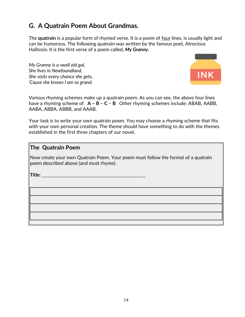## **G. A Quatrain Poem About Grandmas.**

The **quatrain** is a popular form of rhymed verse. It is a poem of four lines, is usually light and can be humorous. The following quatrain was written by the famous poet, Atrocious Halitosis*.* It is the first verse of a poem called, *My Granny.* 

*My Granny is a swell old gal, She lives in Newfoundland, She visits every chance she gets, 'Cause she knows I am so grand.*



Various rhyming schemes make up a quatrain poem. As you can see, the above four lines have a rhyming scheme of **A – B – C – B** Other rhyming schemes include: ABAB, AABB, AABA, ABBA, ABBB, and AAAB.

Your task is to write your own quatrain poem. You may choose a rhyming scheme that fits with your own personal creation. The theme should have something to do with the themes established in the first three chapters of our novel*.*

### **The Quatrain Poem**

Now create your own Quatrain Poem. Your poem must follow the format of a quatrain poem described above (and must rhyme).

**Title**: \_\_\_\_\_\_\_\_\_\_\_\_\_\_\_\_\_\_\_\_\_\_\_\_\_\_\_\_\_\_\_\_\_\_\_\_\_\_\_\_\_\_\_\_\_\_\_